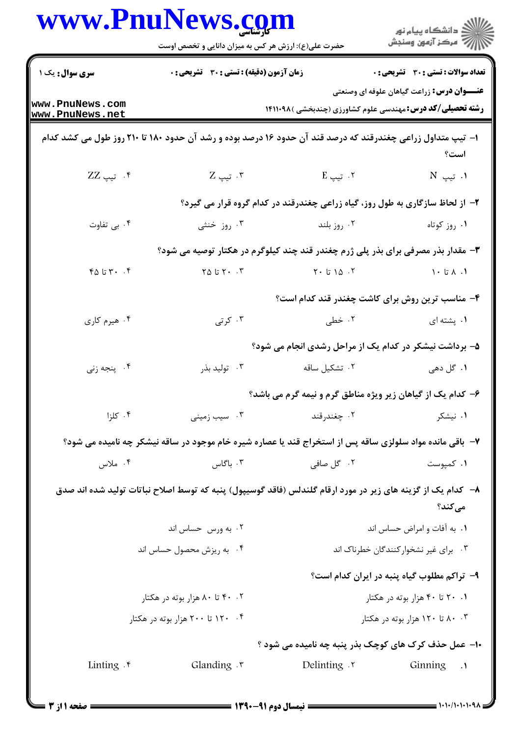| www.PnuNews.com                    | حضرت علی(ع): ارزش هر کس به میزان دانایی و تخصص اوست                                                          |                                       | ِ دانشڪاه پيا <sub>م</sub> نور<br>/∕ مرڪز آزمون وسنڊش                                                                  |  |
|------------------------------------|--------------------------------------------------------------------------------------------------------------|---------------------------------------|------------------------------------------------------------------------------------------------------------------------|--|
| سری سوال: یک ۱                     | <b>زمان آزمون (دقیقه) : تستی : 30 ٪ تشریحی : 0</b>                                                           |                                       | <b>تعداد سوالات : تستی : 30 ٪ تشریحی : 0</b>                                                                           |  |
| www.PnuNews.com<br>www.PnuNews.net |                                                                                                              |                                       | <b>عنـــوان درس:</b> زراعت گیاهان علوفه ای وصنعتی<br><b>رشته تحصیلی/کد درس: م</b> هندسی علوم کشاورزی (چندبخشی )۱۴۱۱۰۹۸ |  |
|                                    | ا– تیپ متداول زراعی چغندرقند که درصد قند آن حدود ۱۶ درصد بوده و رشد آن حدود ۱۸۰ تا ۲۱۰ روز طول می کشد کدام   |                                       | است؟                                                                                                                   |  |
| ۰۴ تيپ ZZ                          | ۰۳ تيپ Z                                                                                                     | ۰۲ تیپ E                              | ا. تيپ N                                                                                                               |  |
|                                    |                                                                                                              |                                       | ۲- از لحاظ سازگاری به طول روز، گیاه زراعی چغندرقند در کدام گروه قرار می گیرد؟                                          |  |
| ۰۴ بی تفاوت                        | ۰۳ روز خنثی                                                                                                  | ۰۲ روز بلند                           | ۰۱ روز کوتاه                                                                                                           |  |
|                                    |                                                                                                              |                                       | ۳- مقدار بذر مصرفی برای بذر پلی ژرم چغندر قند چند کیلوگرم در هکتار توصیه می شود؟                                       |  |
| $Y \circ Y \circ Y \circ Y$ تا ۶۵  | $Y \triangle$ تا ۲۵                                                                                          | ۲۰ ۱۵ تا ۲۰                           | $\cdot$ 1. $\lambda$ تا $\cdot$ 1                                                                                      |  |
|                                    |                                                                                                              |                                       | ۴- مناسب ترین روش برای کاشت چغندر قند کدام است؟                                                                        |  |
| ۰۴ هیرم کاری                       | ۰۳ کرتی $\cdot$                                                                                              | ۰۲ خطی                                | ۰۱ پشته ای                                                                                                             |  |
|                                    |                                                                                                              |                                       | ۵– برداشت نیشکر در کدام یک از مراحل رشدی انجام می شود؟                                                                 |  |
| ۰۴ پنجه زنی                        | ۰۳ تولید بذر                                                                                                 | ۰۲ تشکیل ساقه                         | ۱. گل دهی                                                                                                              |  |
|                                    |                                                                                                              |                                       | ۶- کدام یک از گیاهان زیر ویژه مناطق گرم و نیمه گرم می باشد؟                                                            |  |
| ۰۴ کلزا                            | ۰۳ سیب زمینی                                                                                                 | ۰۲ چغندرقند                           | ۰۱ نیشکر                                                                                                               |  |
|                                    | ۷– باقی مانده مواد سلولزی ساقه پس از استخراج قند یا عصاره شیره خام موجود در ساقه نیشکر چه نامیده می شود؟     |                                       |                                                                                                                        |  |
| ۰۴ ملاس                            | ۰۳ باگاس                                                                                                     | ۰۲ گل صافی                            | ۰۱ کمپوست                                                                                                              |  |
|                                    | ۸–۔ کدام یک از گزینه های زیر در مورد ارقام گلندلس (فاقد گوسیپول) پنبه که توسط اصلاح نباتات تولید شده اند صدق |                                       | مىكند؟                                                                                                                 |  |
|                                    | ۰۲ به ورس حساس اند                                                                                           |                                       | ٠١. به آفات و امراض حساس اند                                                                                           |  |
|                                    | ۰۴ به ریزش محصول حساس اند                                                                                    | ۰۳ برای غیر نشخوار کنندگان خطرناک اند |                                                                                                                        |  |
|                                    |                                                                                                              |                                       | ۹- تراکم مطلوب گیاه پنبه در ایران کدام است؟                                                                            |  |
| ۰۲ ۴۰ تا ۸۰ هزار بوته در هکتار     |                                                                                                              | ۰۱ ۲۰ تا ۴۰ هزار بوته در هکتار        |                                                                                                                        |  |
|                                    | ۰۴ - ۱۲۰ تا ۲۰۰ هزار بوته در هکتار                                                                           |                                       | ۰. ۸۰ تا ۱۲۰ هزار بوته در هکتار                                                                                        |  |
|                                    |                                                                                                              |                                       | ۱۰- عمل حذف کرک های کوچک بذر پنبه چه نامیده می شود ؟                                                                   |  |
| Linting $\cdot$                    | Glanding $\cdot$                                                                                             | <b>Delinting</b> .                    | Ginning<br>$\cdot$ .                                                                                                   |  |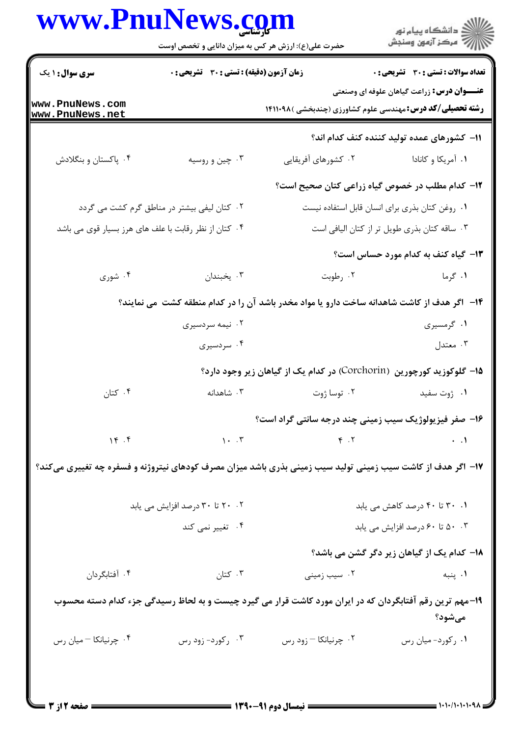## WWW PnuNows com

| <b>سری سوال : ۱ یک</b>                                | زمان آزمون (دقیقه) : تستی : 30 ٪ تشریحی : 0 |                                                | <b>تعداد سوالات : تستی : 30 ٪ تشریحی : 0</b>                                                                          |  |
|-------------------------------------------------------|---------------------------------------------|------------------------------------------------|-----------------------------------------------------------------------------------------------------------------------|--|
| www.PnuNews.com<br>www.PnuNews.net                    |                                             |                                                | <b>عنـــوان درس:</b> زراعت گیاهان علوفه ای وصنعتی<br><b>رشته تحصیلی/کد درس:</b> مهندسی علوم کشاورزی (چندبخشی )۱۴۱۱۰۹۸ |  |
|                                                       |                                             |                                                | 11– كشورهاي عمده توليد كننده كنف كدام اند؟                                                                            |  |
| ۰۴ پاکستان و بنگلادش                                  | ۰۳ چین و روسیه                              | ۰۲ کشورهای آفریقایی                            | ۰۱ آمریکا و کانادا                                                                                                    |  |
|                                                       |                                             |                                                | ۱۲– کدام مطلب در خصوص گیاه زراعی کتان صحیح است؟                                                                       |  |
|                                                       | ۰۲ کتان لیفی بیشتر در مناطق گرم کشت می گردد | ٠١ روغن كتان بذرى براى انسان قابل استفاده نيست |                                                                                                                       |  |
| ۰۴ کتان از نظر رقابت با علف های هرز بسیار قوی می باشد |                                             | ۰۳ ساقه کتان بذری طویل تر از کتان الیافی است   |                                                                                                                       |  |
|                                                       |                                             |                                                | ۱۳- گیاه کنف به کدام مورد حساس است؟                                                                                   |  |
| ۰۴ شوری                                               | ۰۳ يخبندان                                  | ۰۲ رطوبت                                       | ۰۱ گرما                                                                                                               |  |
|                                                       |                                             |                                                | ۱۴– آگر هدف از کاشت شاهدانه ساخت دارو یا مواد مخدر باشد آن را در کدام منطقه کشت ًمی نمایند؟                           |  |
|                                                       | ۰۲ نیمه سردسیری                             |                                                | ۱. گرمسیری                                                                                                            |  |
|                                                       | ۰۴ سردسیری                                  |                                                | ۰۳ معتدل                                                                                                              |  |
|                                                       |                                             |                                                | ۱۵– گلوکوزید کورچورین (Corchorin) در کدام یک از گیاهان زیر وجود دارد؟                                                 |  |
| ۰۴ کتان                                               | ۰۳ شاهدانه                                  | ۰۲ توسا ژوت                                    | ۰۱ ژوت سفید                                                                                                           |  |
|                                                       |                                             |                                                | ۱۶- صفر فیزیولوژیک سیب زمینی چند درجه سانتی گراد است؟                                                                 |  |
| 16.5                                                  |                                             | $\mathcal{N}$ . T $\mathcal{P}$ . T            | $\cdot$ .1                                                                                                            |  |
|                                                       |                                             |                                                | ۱۷– اگر هدف از کاشت سیب زمینی تولید سیب زمینی بذری باشد میزان مصرف کودهای نیتروژنه و فسفره چه تغییری میکند؟           |  |
| ۰۲ ۲۰ تا ۳۰ درصد افزایش می یابد                       |                                             |                                                | ۰۱ ۳۰ تا ۴۰ درصد کاهش می یابد                                                                                         |  |
| ۰۴ تغییر نمی کند                                      |                                             |                                                | ۰۰ ۲ تا ۶۰ درصد افزایش می یابد                                                                                        |  |
|                                                       |                                             |                                                | <b>۱۸</b> – کدام یک از گیاهان زیر دگر گشن می باشد؟                                                                    |  |
| ۰۴ آفتابگردان                                         | ۰۳ کتان                                     | ۰۲ سیب زمینی                                   | ۰۱ پنبه                                                                                                               |  |
|                                                       |                                             |                                                | ۱۹-مهم ترین رقم آفتابگردان که در ایران مورد کاشت قرار می گیرد چیست و به لحاظ رسیدگی جزء کدام دسته محسوب<br>مىشود؟     |  |
| ۰۴ چرنیانکا – میان رس                                 | ۰۳ رکورد- زود رس                            | ۰۲ چرنیانکا – زود رس                           | ۰۱ رکورد- میان رس                                                                                                     |  |